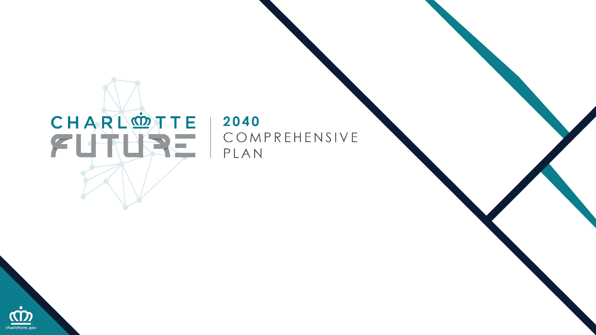# CHARL®TTE

#### 2040 COMPREHENSIVE PLAN

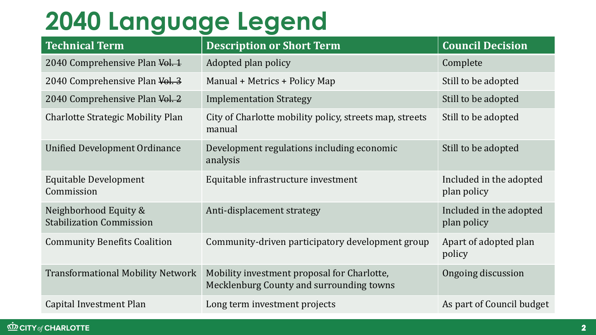## **2040 Language Legend**

| <b>Technical Term</b>                                    | <b>Description or Short Term</b>                                                        | <b>Council Decision</b>                |
|----------------------------------------------------------|-----------------------------------------------------------------------------------------|----------------------------------------|
| 2040 Comprehensive Plan Vol. 1                           | Adopted plan policy                                                                     | Complete                               |
| 2040 Comprehensive Plan Vol. 3                           | Manual + Metrics + Policy Map                                                           | Still to be adopted                    |
| 2040 Comprehensive Plan Vol. 2                           | <b>Implementation Strategy</b>                                                          | Still to be adopted                    |
| <b>Charlotte Strategic Mobility Plan</b>                 | City of Charlotte mobility policy, streets map, streets<br>manual                       | Still to be adopted                    |
| <b>Unified Development Ordinance</b>                     | Development regulations including economic<br>analysis                                  | Still to be adopted                    |
| Equitable Development<br>Commission                      | Equitable infrastructure investment                                                     | Included in the adopted<br>plan policy |
| Neighborhood Equity &<br><b>Stabilization Commission</b> | Anti-displacement strategy                                                              | Included in the adopted<br>plan policy |
| <b>Community Benefits Coalition</b>                      | Community-driven participatory development group                                        | Apart of adopted plan<br>policy        |
| <b>Transformational Mobility Network</b>                 | Mobility investment proposal for Charlotte,<br>Mecklenburg County and surrounding towns | Ongoing discussion                     |
| Capital Investment Plan                                  | Long term investment projects                                                           | As part of Council budget              |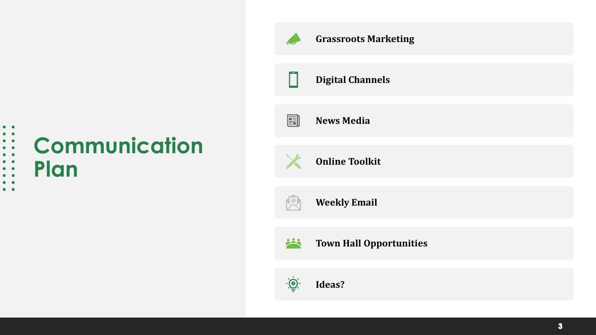## **Communication Plan**

. . . . . . . . .<br>. . . . . . . .

 $\bullet\quad \bullet$  $\bullet$   $\bullet$ 

| <b>SEP</b> | <b>Grassroots Marketing</b>    |
|------------|--------------------------------|
|            | <b>Digital Channels</b>        |
| 團          | <b>News Media</b>              |
| X          | <b>Online Toolkit</b>          |
|            | <b>Weekly Email</b>            |
| 兴          | <b>Town Hall Opportunities</b> |
|            | Ideas?                         |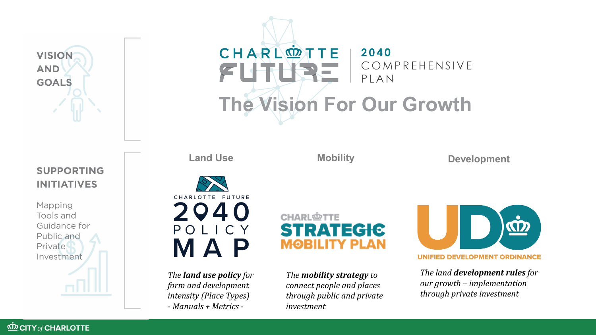

### CHARLOTTE 2040 COMPREHENSIVE  $\mathcal{F}$ PLAN **The Vision For Our Growth**

**Land Use 5 Mobility 19 Development** 

#### **SUPPORTING INITIATIVES**

Mapping Tools and Guidance for Public and Private Investment





*The land use policy for form and development intensity (Place Types) - Manuals + Metrics -*

**CHARLOTTE STRATEGIC MOBILITY PLAN** 

*The mobility strategy to connect people and places through public and private investment*



*The land development rules for our growth – implementation through private investment*

**KD CITY of CHARLOTTE**